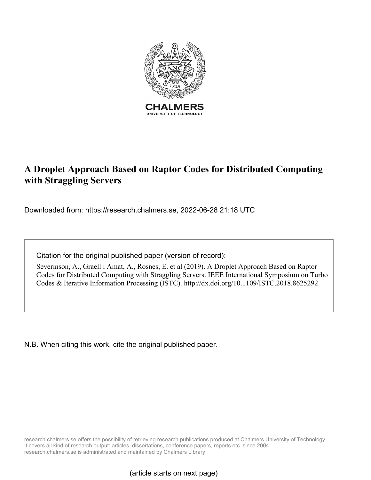

# **A Droplet Approach Based on Raptor Codes for Distributed Computing with Straggling Servers**

Downloaded from: https://research.chalmers.se, 2022-06-28 21:18 UTC

Citation for the original published paper (version of record):

Severinson, A., Graell i Amat, A., Rosnes, E. et al (2019). A Droplet Approach Based on Raptor Codes for Distributed Computing with Straggling Servers. IEEE International Symposium on Turbo Codes & Iterative Information Processing (ISTC). http://dx.doi.org/10.1109/ISTC.2018.8625292

N.B. When citing this work, cite the original published paper.

research.chalmers.se offers the possibility of retrieving research publications produced at Chalmers University of Technology. It covers all kind of research output: articles, dissertations, conference papers, reports etc. since 2004. research.chalmers.se is administrated and maintained by Chalmers Library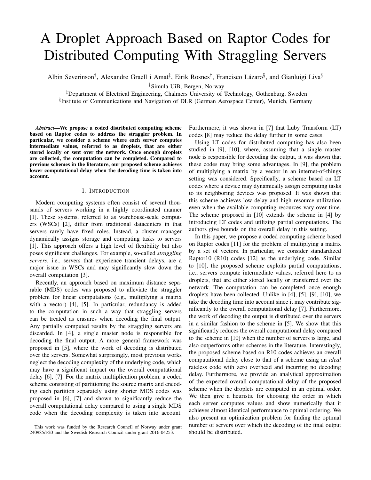# A Droplet Approach Based on Raptor Codes for Distributed Computing With Straggling Servers

Albin Severinson<sup>†</sup>, Alexandre Graell i Amat<sup>‡</sup>, Eirik Rosnes<sup>†</sup>, Francisco Lázaro<sup>§</sup>, and Gianluigi Liva<sup>§</sup>

†Simula UiB, Bergen, Norway

‡Department of Electrical Engineering, Chalmers University of Technology, Gothenburg, Sweden § Institute of Communications and Navigation of DLR (German Aerospace Center), Munich, Germany

*Abstract*—We propose a coded distributed computing scheme based on Raptor codes to address the straggler problem. In particular, we consider a scheme where each server computes intermediate values, referred to as droplets, that are either stored locally or sent over the network. Once enough droplets are collected, the computation can be completed. Compared to previous schemes in the literature, our proposed scheme achieves lower computational delay when the decoding time is taken into account.

#### I. INTRODUCTION

Modern computing systems often consist of several thousands of servers working in a highly coordinated manner [1]. These systems, referred to as warehouse-scale computers (WSCs) [2], differ from traditional datacenters in that servers rarely have fixed roles. Instead, a cluster manager dynamically assigns storage and computing tasks to servers [1]. This approach offers a high level of flexibility but also poses significant challenges. For example, so-called *straggling servers*, i.e., servers that experience transient delays, are a major issue in WSCs and may significantly slow down the overall computation [3].

Recently, an approach based on maximum distance separable (MDS) codes was proposed to alleviate the straggler problem for linear computations (e.g., multiplying a matrix with a vector) [4], [5]. In particular, redundancy is added to the computation in such a way that straggling servers can be treated as erasures when decoding the final output. Any partially computed results by the straggling servers are discarded. In [4], a single master node is responsible for decoding the final output. A more general framework was proposed in [5], where the work of decoding is distributed over the servers. Somewhat surprisingly, most previous works neglect the decoding complexity of the underlying code, which may have a significant impact on the overall computational delay [6], [7]. For the matrix multiplication problem, a coded scheme consisting of partitioning the source matrix and encoding each partition separately using shorter MDS codes was proposed in [6], [7] and shown to significantly reduce the overall computational delay compared to using a single MDS code when the decoding complexity is taken into account. Furthermore, it was shown in [7] that Luby Transform (LT) codes [8] may reduce the delay further in some cases.

Using LT codes for distributed computing has also been studied in [9], [10], where, assuming that a single master node is responsible for decoding the output, it was shown that these codes may bring some advantages. In [9], the problem of multiplying a matrix by a vector in an internet-of-things setting was considered. Specifically, a scheme based on LT codes where a device may dynamically assign computing tasks to its neighboring devices was proposed. It was shown that this scheme achieves low delay and high resource utilization even when the available computing resources vary over time. The scheme proposed in [10] extends the scheme in [4] by introducing LT codes and utilizing partial computations. The authors give bounds on the overall delay in this setting.

In this paper, we propose a coded computing scheme based on Raptor codes [11] for the problem of multiplying a matrix by a set of vectors. In particular, we consider standardized Raptor10 (R10) codes [12] as the underlying code. Similar to [10], the proposed scheme exploits partial computations, i.e., servers compute intermediate values, referred here to as droplets, that are either stored locally or transferred over the network. The computation can be completed once enough droplets have been collected. Unlike in [4], [5], [9], [10], we take the decoding time into account since it may contribute significantly to the overall computational delay [7]. Furthermore, the work of decoding the output is distributed over the servers in a similar fashion to the scheme in [5]. We show that this significantly reduces the overall computational delay compared to the scheme in [10] when the number of servers is large, and also outperforms other schemes in the literature. Interestingly, the proposed scheme based on R10 codes achieves an overall computational delay close to that of a scheme using an *ideal* rateless code with zero overhead and incurring no decoding delay. Furthermore, we provide an analytical approximation of the expected overall computational delay of the proposed scheme when the droplets are computed in an optimal order. We then give a heuristic for choosing the order in which each server computes values and show numerically that it achieves almost identical performance to optimal ordering. We also present an optimization problem for finding the optimal number of servers over which the decoding of the final output should be distributed.

This work was funded by the Research Council of Norway under grant 240985/F20 and the Swedish Research Council under grant 2016-04253.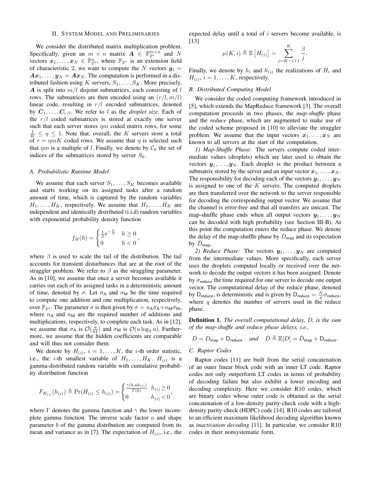#### II. SYSTEM MODEL AND PRELIMINARIES

We consider the distributed matrix multiplication problem. Specifically, given an  $m \times n$  matrix  $\mathbf{A} \in \mathbb{F}_{2^u}^{m \times n}$  and N vectors  $x_1, \ldots, x_N \in \mathbb{F}_{2^u}^n$ , where  $\mathbb{F}_{2^u}$  is an extension field of characteristic 2, we want to compute the N vectors  $y_1 =$  $A x_1, \ldots, y_N = A x_N$ . The computation is performed in a distributed fashion using K servers,  $S_1, \ldots, S_K$ . More precisely, A is split into  $m/l$  disjoint submatrices, each consisting of  $l$ rows. The submatrices are then encoded using an  $(r/l, m/l)$ linear code, resulting in  $r/l$  encoded submatrices, denoted by  $C_1, \ldots, C_{r/l}$ . We refer to l as the *droplet size*. Each of the  $r/l$  coded submatrices is stored at exactly one server such that each server stores  $\eta m$  coded matrix rows, for some  $\frac{1}{K} \leq \eta \leq 1$ . Note that, overall, the K servers store a total of  $r = \eta mK$  coded rows. We assume that  $\eta$  is selected such that  $\eta m$  is a multiple of l. Finally, we denote by  $\mathcal{C}_k$  the set of indices of the submatrices stored by server  $S_k$ .

#### *A. Probabilistic Runtime Model*

We assume that each server  $S_1, \ldots, S_K$  becomes available and starts working on its assigned tasks after a random amount of time, which is captured by the random variables  $H_1, \ldots, H_K$ , respectively. We assume that  $H_1, \ldots, H_K$  are independent and identically distributed (i.i.d) random variables with exponential probability density function

$$
f_H(h) = \begin{cases} \frac{1}{\beta} e^{-\frac{h}{\beta}} & h \ge 0\\ 0 & h < 0 \end{cases},
$$

where  $\beta$  is used to scale the tail of the distribution. The tail accounts for transient disturbances that are at the root of the straggler problem. We refer to  $\beta$  as the straggling parameter. As in [10], we assume that once a server becomes available it carries out each of its assigned tasks in a deterministic amount of time, denoted by  $\sigma$ . Let  $\sigma_A$  and  $\sigma_M$  be the time required to compute one addition and one multiplication, respectively, over  $\mathbb{F}_{2^u}$ . The parameter  $\sigma$  is then given by  $\sigma = n_A \sigma_A + n_M \sigma_M$ , where  $n_A$  and  $n_M$  are the required number of additions and multiplications, respectively, to complete each task. As in [12], we assume that  $\sigma_A$  is  $\mathcal{O}(\frac{u}{64})$  and  $\sigma_M$  is  $\mathcal{O}(u \log_2 u)$ . Furthermore, we assume that the hidden coefficients are comparable and will thus not consider them.

We denote by  $H_{(i)}$ ,  $i = 1, \ldots, K$ , the *i*-th order statistic, i.e., the *i*-th smallest variable of  $H_1, \ldots, H_K$ .  $H_{(i)}$  is a gamma-distributed random variable with cumulative probability distribution function

$$
F_{H_{(i)}}(h_{(i)}) \triangleq \Pr(H_{(i)} \le h_{(i)}) = \begin{cases} \frac{\gamma(b, a h_{(i)})}{\Gamma(b)} & h_{(i)} \ge 0\\ 0 & h_{(i)} < 0 \end{cases},
$$

where  $\Gamma$  denotes the gamma function and  $\gamma$  the lower incomplete gamma function. The inverse scale factor  $a$  and shape parameter  $b$  of the gamma distribution are computed from its mean and variance as in [7]. The expectation of  $H_{(i)}$ , i.e., the expected delay until a total of  $i$  servers become available, is [13]

$$
\mu(K,i) \triangleq \mathbb{E}\left[H_{(i)}\right] = \sum_{j=K-i+1}^{K} \frac{\beta}{j}.
$$

Finally, we denote by  $h_i$  and  $h_{(i)}$  the realizations of  $H_i$  and  $H_{(i)}$ ,  $i = 1, \ldots, K$ , respectively.

#### *B. Distributed Computing Model*

We consider the coded computing framework introduced in [5], which extends the MapReduce framework [3]. The overall computation proceeds in two phases, the *map-shuffle* phase and the *reduce* phase, which are augmented to make use of the coded scheme proposed in [10] to alleviate the straggler problem. We assume that the input vectors  $x_1, \ldots, x_N$  are known to all servers at the start of the computation.

*1) Map-Shuffle Phase:* The servers compute coded intermediate values (droplets) which are later used to obtain the vectors  $y_1, \ldots, y_N$ . Each droplet is the product between a submatrix stored by the server and an input vector  $x_1, \ldots, x_N$ . The responsibility for decoding each of the vectors  $y_1, \ldots, y_N$ is assigned to one of the  $K$  servers. The computed droplets are then transferred over the network to the server responsible for decoding the corresponding output vector. We assume that the channel is error-free and that all transfers are unicast. The map-shuffle phase ends when all output vectors  $y_1, \ldots, y_N$ can be decoded with high probability (see Section III-B). At this point the computation enters the reduce phase. We denote the delay of the map-shuffle phase by  $D_{\text{map}}$  and its expectation by  $D_{\text{map}}$ .

*2) Reduce Phase:* The vectors  $y_1, \ldots, y_N$  are computed from the intermediate values. More specifically, each server uses the droplets computed locally or received over the network to decode the output vectors it has been assigned. Denote by  $\sigma_{\text{reduce}}$  the time required for one server to decode one output vector. The computational delay of the reduce phase, denoted by D<sub>reduce</sub>, is deterministic and is given by D<sub>reduce</sub> =  $\frac{N}{q} \sigma_{\text{reduce}}$ , where  $q$  denotes the number of servers used in the reduce phase.

Definition 1. *The overall computational delay,* D*, is the sum of the map-shuffle and reduce phase delays, i.e.,*

$$
D = D_{\mathsf{map}} + \mathsf{D}_{\mathsf{reduce}} \quad \textit{and} \quad \bar{D} \triangleq \mathbb{E}[D] = \bar{D}_{\mathsf{map}} + \mathsf{D}_{\mathsf{reduce}}.
$$

#### *C. Raptor Codes*

Raptor codes [11] are built from the serial concatenation of an outer linear block code with an inner LT code. Raptor codes not only outperform LT codes in terms of probability of decoding failure but also exhibit a lower encoding and decoding complexity. Here we consider R10 codes, which are binary codes whose outer code is obtained as the serial concatenation of a low-density parity-check code with a highdensity parity-check (HDPC) code [14]. R10 codes are tailored to an efficient maximum likelihood decoding algorithm known as *inactivation decoding* [11]. In particular, we consider R10 codes in their nonsystematic form.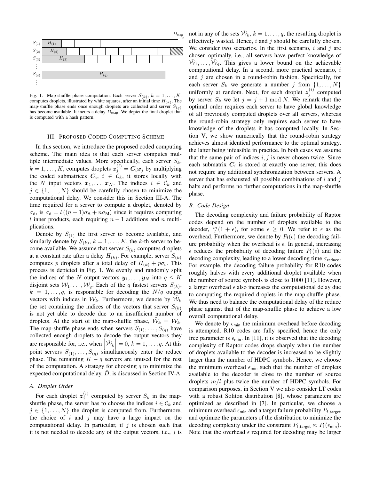

Fig. 1. Map-shuffle phase computation. Each server  $S_{(k)}$ ,  $k = 1, \ldots, K$ , computes droplets, illustrated by white squares, after an initial time  $H_{(k)}$ . The map-shuffle phase ends once enough droplets are collected and server  $S(q)$ has become available. It incurs a delay  $D_{\text{map}}$ . We depict the final droplet that is computed with a hash pattern.

#### III. PROPOSED CODED COMPUTING SCHEME

In this section, we introduce the proposed coded computing scheme. The main idea is that each server computes multiple intermediate values. More specifically, each server  $S_k$ ,  $k = 1, \dots, K$ , computes droplets  $z_j^{(i)} = C_i x_j$  by multiplying the coded submatrices  $C_i$ ,  $i \in \mathcal{C}_k$ , it stores locally with the N input vectors  $x_1, \ldots, x_N$ . The indices  $i \in \mathcal{C}_k$  and  $j \in \{1, \ldots, N\}$  should be carefully chosen to minimize the computational delay. We consider this in Section III-A. The time required for a server to compute a droplet, denoted by  $\sigma_{d}$ , is  $\sigma_{d} = l((n-1)\sigma_{A} + n\sigma_{M})$  since it requires computing l inner products, each requiring  $n - 1$  additions and n multiplications.

Denote by  $S_{(1)}$  the first server to become available, and similarly denote by  $S_{(k)}$ ,  $k = 1, \ldots, K$ , the k-th server to become available. We assume that server  $S_{(k)}$  computes droplets at a constant rate after a delay  $H_{(k)}$ . For example, server  $S_{(k)}$ computes p droplets after a total delay of  $H_{(k)} + p\sigma_d$ . This process is depicted in Fig. 1. We evenly and randomly split the indices of the N output vectors  $y_1, \ldots, y_N$  into  $q \leq K$ disjoint sets  $W_1, \ldots, W_q$ . Each of the q fastest servers  $S_{(k)}$ ,  $k = 1, \ldots, q$ , is responsible for decoding the  $N/q$  output vectors with indices in  $W_k$ . Furthermore, we denote by  $\tilde{W}_k$ the set containing the indices of the vectors that server  $S_{(k)}$ is not yet able to decode due to an insufficient number of droplets. At the start of the map-shuffle phase,  $\tilde{W}_k = W_k$ . The map-shuffle phase ends when servers  $S_{(1)}, \ldots, S_{(q)}$  have collected enough droplets to decode the output vectors they are responsible for, i.e., when  $\left|\tilde{\mathcal{W}}_k\right| = 0, k = 1, \ldots, q$ . At this point servers  $S_{(1)}, \ldots, S_{(q)}$  simultaneously enter the reduce phase. The remaining  $K - q$  servers are unused for the rest of the computation. A strategy for choosing  $q$  to minimize the expected computational delay,  $\bar{D}$ , is discussed in Section IV-A.

#### *A. Droplet Order*

For each droplet  $z_j^{(i)}$  computed by server  $S_k$  in the mapshuffle phase, the server has to choose the indices  $i \in \mathcal{C}_k$  and  $j \in \{1, \ldots, N\}$  the droplet is computed from. Furthermore, the choice of i and j may have a large impact on the computational delay. In particular, if  $j$  is chosen such that it is not needed to decode any of the output vectors, i.e.,  $i$  is

not in any of the sets  $\tilde{\mathcal{W}}_k$ ,  $k = 1, \ldots, q$ , the resulting droplet is effectively wasted. Hence,  $i$  and  $j$  should be carefully chosen. We consider two scenarios. In the first scenario,  $i$  and  $j$  are chosen optimally, i.e., all servers have perfect knowledge of  $\tilde{W}_1, \ldots, \tilde{W}_q$ . This gives a lower bound on the achievable computational delay. In a second, more practical scenario, i and  $j$  are chosen in a round-robin fashion. Specifically, for each server  $S_k$  we generate a number j from  $\{1, \ldots, N\}$ uniformly at random. Next, for each droplet  $z_j^{(i)}$  computed by server  $S_k$  we let  $j = j + 1 \mod N$ . We remark that the optimal order requires each server to have global knowledge of all previously computed droplets over all servers, whereas the round-robin strategy only requires each server to have knowledge of the droplets it has computed locally. In Section V, we show numerically that the round-robin strategy achieves almost identical performance to the optimal strategy, the latter being infeasible in practice. In both cases we assume that the same pair of indices  $i, j$  is never chosen twice. Since each submatrix  $C_i$  is stored at exactly one server, this does not require any additional synchronization between servers. A server that has exhausted all possible combinations of  $i$  and  $j$ halts and performs no further computations in the map-shuffle phase.

#### *B. Code Design*

The decoding complexity and failure probability of Raptor codes depend on the number of droplets available to the decoder,  $\frac{m}{l}(1 + \epsilon)$ , for some  $\epsilon \ge 0$ . We refer to  $\epsilon$  as the overhead. Furthermore, we denote by  $P_f(\epsilon)$  the decoding failure probability when the overhead is  $\epsilon$ . In general, increasing  $\epsilon$  reduces the probability of decoding failure  $P_f(\epsilon)$  and the decoding complexity, leading to a lower decoding time  $\sigma_{\text{reduce}}$ . For example, the decoding failure probability for R10 codes roughly halves with every additional droplet available when the number of source symbols is close to 1000 [11]. However, a larger overhead  $\epsilon$  also increases the computational delay due to computing the required droplets in the map-shuffle phase. We thus need to balance the computational delay of the reduce phase against that of the map-shuffle phase to achieve a low overall computational delay.

We denote by  $\epsilon_{\min}$  the minimum overhead before decoding is attempted. R10 codes are fully specified, hence the only free parameter is  $\epsilon_{\text{min}}$ . In [11], it is observed that the decoding complexity of Raptor codes drops sharply when the number of droplets available to the decoder is increased to be slightly larger than the number of HDPC symbols. Hence, we choose the minimum overhead  $\epsilon_{\text{min}}$  such that the number of droplets available to the decoder is close to the number of source droplets  $m/l$  plus twice the number of HDPC symbols. For comparison purposes, in Section V we also consider LT codes with a robust Soliton distribution [8], whose parameters are optimized as described in [7]. In particular, we choose a minimum overhead  $\epsilon_{\min}$  and a target failure probability  $P_{\text{f target}}$ and optimize the parameters of the distribution to minimize the decoding complexity under the constraint  $P_{\text{f,target}} \approx P_{\text{f}}(\epsilon_{\text{min}})$ . Note that the overhead  $\epsilon$  required for decoding may be larger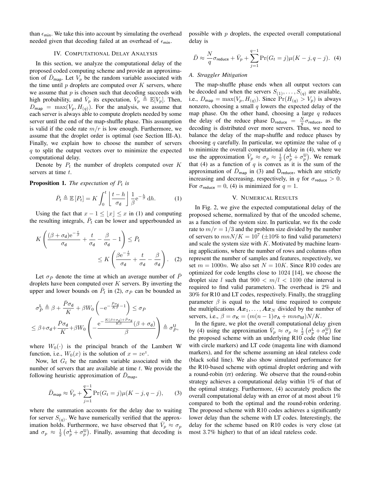than  $\epsilon_{\min}$ . We take this into account by simulating the overhead needed given that decoding failed at an overhead of  $\epsilon_{\min}$ .

## IV. COMPUTATIONAL DELAY ANALYSIS

In this section, we analyze the computational delay of the proposed coded computing scheme and provide an approximation of  $D_{\text{map}}$ . Let  $V_p$  be the random variable associated with the time until  $p$  droplets are computed over  $K$  servers, where we assume that  $p$  is chosen such that decoding succeeds with high probability, and  $\bar{V}_p$  its expectation,  $\bar{V}_p \triangleq \mathbb{E}[V_p]$ . Then,  $D_{\text{map}} = \max(V_p, H_{(q)})$ . For the analysis, we assume that each server is always able to compute droplets needed by some server until the end of the map-shuffle phase. This assumption is valid if the code rate  $m/r$  is low enough. Furthermore, we assume that the droplet order is optimal (see Section III-A). Finally, we explain how to choose the number of servers  $q$  to split the output vectors over to minimize the expected computational delay.

Denote by  $P_t$  the number of droplets computed over K servers at time t.

#### **Proposition 1.** *The expectation of*  $P_t$  *is*

$$
\bar{P}_t \triangleq \mathbb{E}\left[P_t\right] = K \int_0^t \left[\frac{t-h}{\sigma_\mathbf{d}}\right] \frac{1}{\beta} e^{-\frac{h}{\beta}} dh. \tag{1}
$$

Using the fact that  $x - 1 \le |x| \le x$  in (1) and computing the resulting integrals,  $\overline{P}_t$  can be lower and upperbounded as

$$
K\left(\frac{(\beta + \sigma_{\mathbf{d}})\mathrm{e}^{-\frac{t}{\beta}}}{\sigma_{\mathbf{d}}} + \frac{t}{\sigma_{\mathbf{d}}} - \frac{\beta}{\sigma_{\mathbf{d}}} - 1\right) \leq \bar{P}_t
$$
  
 
$$
\leq K\left(\frac{\beta \mathrm{e}^{-\frac{t}{\beta}}}{\sigma_{\mathbf{d}}} + \frac{t}{\sigma_{\mathbf{d}}} - \frac{\beta}{\sigma_{\mathbf{d}}}\right). (2)
$$

Let  $\sigma_{\bar{P}}$  denote the time at which an average number of P droplets have been computed over  $K$  servers. By inverting the upper and lower bounds on  $\bar{P}_t$  in (2),  $\sigma_{\bar{P}}$  can be bounded as

$$
\sigma_P^{\mathsf{L}} \triangleq \beta + \frac{\bar{P}\sigma_{\mathsf{d}}}{K} + \beta W_0 \left( -e^{-\frac{\bar{P}\sigma_{\mathsf{d}}}{K\beta} - 1} \right) \leq \sigma_{\bar{P}}
$$
  

$$
\leq \beta + \sigma_{\mathsf{d}} + \frac{\bar{P}\sigma_{\mathsf{d}}}{K} + \beta W_0 \left( -\frac{e^{-\frac{K(\beta + \sigma_{\mathsf{d}}) + \bar{P}\sigma_{\mathsf{d}}}{K\beta}}}{\beta} \left( \beta + \sigma_{\mathsf{d}} \right) \right) \triangleq \sigma_{\bar{P}}^{\mathsf{U}},
$$

where  $W_0(\cdot)$  is the principal branch of the Lambert W function, i.e.,  $W_0(x)$  is the solution of  $x = ze^z$ .

Now, let  $G_t$  be the random variable associated with the number of servers that are available at time  $t$ . We provide the following heuristic approximation of  $D_{\text{map}}$ ,

$$
\bar{D}_{\text{map}} \approx \bar{V}_p + \sum_{j=1}^{q-1} \Pr(G_t = j) \mu(K - j, q - j), \quad (3)
$$

where the summation accounts for the delay due to waiting for server  $S_{(q)}$ . We have numerically verified that the approximation holds. Furthermore, we have observed that  $\overrightarrow{V}_p \approx \sigma_p$ and  $\sigma_p \approx \frac{1}{2} (\sigma_p^{\mathsf{L}} + \sigma_p^{\mathsf{U}})$ . Finally, assuming that decoding is possible with  $p$  droplets, the expected overall computational delay is

$$
\bar{D} \approx \frac{N}{q} \sigma_{\text{reduce}} + \bar{V}_p + \sum_{j=1}^{q-1} \Pr(G_t = j) \mu(K - j, q - j). \tag{4}
$$

#### *A. Straggler Mitigation*

The map-shuffle phase ends when all output vectors can be decoded and when the servers  $S_{(1)}, \ldots, S_{(q)}$  are available, i.e.,  $D_{\text{map}} = \max(V_p, H_{(q)})$ . Since  $\Pr(H_{(q)} > V_p)$  is always nonzero, choosing a small  $q$  lowers the expected delay of the map phase. On the other hand, choosing a large  $q$  reduces the delay of the reduce phase  $D_{reduce} = \frac{N}{q} \sigma_{reduce}$ , as the decoding is distributed over more servers. Thus, we need to balance the delay of the map-shuffle and reduce phases by choosing q carefully. In particular, we optimize the value of  $q$ to minimize the overall computational delay in (4), where we use the approximation  $\bar{V}_p \approx \sigma_p \approx \frac{1}{2} \left( \sigma_p^L + \sigma_p^U \right)$ . We remark that (4) as a function of  $q$  is convex as it is the sum of the approximation of  $\bar{D}_{\text{map}}$  in (3) and  $D_{\text{reduce}}$ , which are strictly increasing and decreasing, respectively, in q for  $\sigma_{\text{reduce}} > 0$ . For  $\sigma_{\text{reduce}} = 0$ , (4) is minimized for  $q = 1$ .

### V. NUMERICAL RESULTS

In Fig. 2, we give the expected computational delay of the proposed scheme, normalized by that of the uncoded scheme, as a function of the system size. In particular, we fix the code rate to  $m/r = 1/3$  and the problem size divided by the number of servers to  $mnN/K = 10^7 (\pm 10\%$  to find valid parameters) and scale the system size with  $K$ . Motivated by machine learning applications, where the number of rows and columns often represent the number of samples and features, respectively, we set  $m = 1000n$ . We also set  $N = 10K$ . Since R10 codes are optimized for code lengths close to 1024 [14], we choose the droplet size l such that  $900 < m/l < 1100$  (the interval is required to find valid parameters). The overhead is 2% and 30% for R10 and LT codes, respectively. Finally, the straggling parameter  $\beta$  is equal to the total time required to compute the multiplications  $A x_1, \ldots, A x_N$  divided by the number of servers, i.e.,  $\beta = \sigma_K = (m(n-1)\sigma_A + mn\sigma_M)N/K$ .

In the figure, we plot the overall computational delay given by (4) using the approximation  $\bar{V}_p \approx \sigma_p \approx \frac{1}{2} \left( \sigma_p^L + \sigma_p^U \right)$  for the proposed scheme with an underlying R10 code (blue line with circle markers) and LT code (magenta line with diamond markers), and for the scheme assuming an ideal rateless code (black solid line). We also show simulated performance for the R10-based scheme with optimal droplet ordering and with a round-robin (rr) ordering. We observe that the round-robin strategy achieves a computational delay within 1% of that of the optimal strategy. Furthermore, (4) accurately predicts the overall computational delay with an error of at most about 1% compared to both the optimal and the round-robin ordering. The proposed scheme with R10 codes achieves a significantly lower delay than the scheme with LT codes. Interestingly, the delay for the scheme based on R10 codes is very close (at most 3.7% higher) to that of an ideal rateless code.